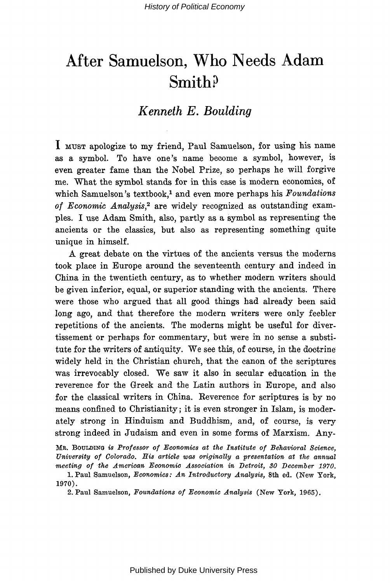# **After** Samuelson, Who Needs Adam Smith?

# *Kenneth E. Boulding*

**1 MUST** apologize to my friend, Paul Samuelson, for using his name as a symbol. To have one's name become a symbol, however, is even greater fame than the Nobel Prize, so perhaps he will forgive me. What the symbol stands for in this case is modern economics, of which Samuelson's textbook,<sup>1</sup> and even more perhaps his *Foundations* of *Economic Analysis*,<sup>2</sup> are widely recognized as outstanding examples. I use Adam Smith, also, partly **as** a symbol as representing the ancients or the classics, but also as representing something quite unique in himself.

**A** great debate on the virtues of the ancients versus the moderns took place in Europe around the seventeenth century and indeed in China in the twentieth century, as to whether modern writers should be given inferior, equal, or superior standing with the ancients. There were those who argued that all good things had already been said long ago, and that therefore the modern writers were only feebler repetitions of the ancients. The moderns might be useful for divertissement or perhaps for commentary, but were in no sense a substitute for the writers of antiquity. We see this, of course, in the doctrine widely held in the Christian church, that the canon of the scriptures was irrevocably closed. We saw it also in secular education in the reverence for the Greek and the Latin authors in Europe, and also for the classical writers in China. Reverence for scriptures is by no means confhed to Christianity; it is even stronger in Islam, is moderately strong in Hinduism and Buddhism, and, of course, is very strong indeed in Judaism and even in some forms of Marxism. **Any-**

**MR. BOULDINQ** *is Professor of Economics at the Institute of Behavioral Science, University of Colorado. His article was originally a presentation at the annual meeting of the American Economic Association in Detroit, 90 December 1970.*  1. Paul Samuelson, *Economics: An Introductory Analysis,* 8th ed. (New **Pork,** 

**<sup>1970).</sup>** 

<sup>2.</sup> Paul Samuelson, *Foundations of Economic Analysis* (New York, 1965).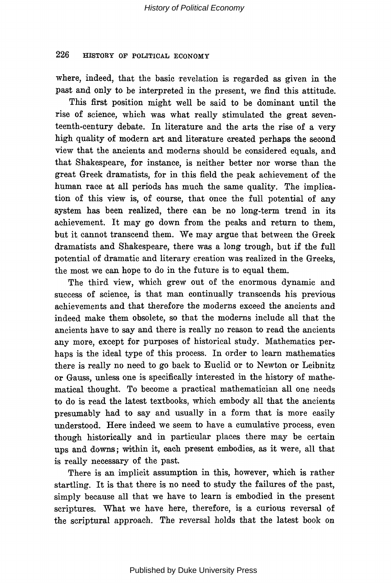where, indeed, that the basic revelation is regarded **as** given in the past and only to be interpreted in the present, we find this attitude.

This first position might well be said to be dominant until the rise of science, which was what really stimulated the great seventeenth-century debate. In literature and the arts the rise of a very high quality of modern art and literature created perhaps the second view that the ancients and moderns should be considered equals, and that Shakespeare, for instance, is neither better nor worse than the great Greek dramatists, for in this field the peak achievement of the human race at all periods has much the same quality. The implication of this view is, of course, that once the full potential of any system has been realized, there can be no long-term trend in its achievement. It may go down from the peaks and return to them, but it cannot transcend them. We may argue that between the Greek dramatists and Shakespeare, there was a long trough, but if the full potential of dramatic and literary creation was realized in the Greeks, the most we can hope to do in the future is to equal them.

The third view, which grew out of the enormous dynamic and success of science, is that man continually transcends his previous achievements and that therefore the moderns exceed the ancients and indeed make them obsolete, so that the moderns include all that the ancients have to say and there is really no reason to read the ancients any more, except for purposes of historical study. Mathematics perhaps is the ideal type of this process. In order to learn mathematics there is really no need to go back to Euclid or to Newton or Leibnitz or Gauss, unless one is specifically interested in the history of mathematical thought. To become a practical mathematician all one needs to do is read the latest textbooks, which embody all that the ancients presumably had to say and usually in a form that *is* more easily understood. Here indeed we seem to have a cumulative process, even though historically and in particular places there may be certain **ups** and downs; wiithin it, each present embodies, **as** it were, all that is redly necessary of the past.

There is an implicit assumption in this, however, which is rather startling. It is that there is no need to study the failures of the past, simply because all that we have to learn **is** embodied in the present scriptures. What we have here, therefore, is a curious reversal of the scriptural approach. The reversal holds that the latest book on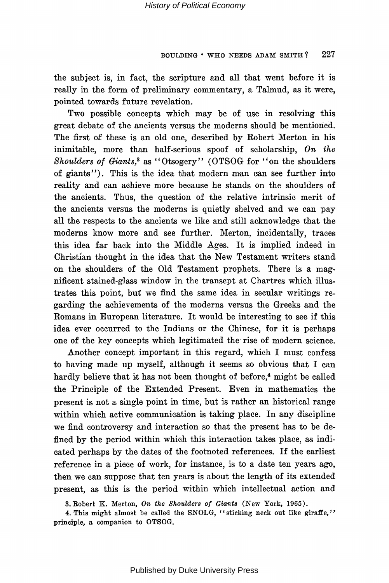the subject is, in fact, the scripture and all that went before it is really in the form of preliminary commentary, a Talmud, **as** it were, pointed towards future revelation.

Two possible concepts which may be of use in resolving this great debate of the ancients versus the moderns should be mentioned. The first of these is an old one, described by Robert Merton in his inimitable, more than half-serious spoof of scholarship, *On the Shoulders of Giants*,<sup>3</sup> as "Otsogery" (OTSOG for "on the shoulders of giants"). This is the idea that modern man can see further into reality and can achieve more because he stands on the shoulders of the ancients. Thus, the question of the relative intrinsic merit of the ancients versus the moderns is quietly shelved and we can pay all the respects to the ancients we like and still acknowledge that the moderns know more and see further. Merton, incidentally, traces this idea far back into the Middle Ages. It is implied indeed in Christian thought in the idea that the New Testament writers stand on the shoulders of the Old Testament prophets. There is a magnificent stained-glass window in the transept at Chartres which illustrates this point, but we find the same idea in secular writings regarding the achievements of the moderns versus the Greeks and the Romans in European literature. It would be interesting to see if this idea ever occurred to the Indians or the Chinese, for it is perhaps one of the key ooncepts which legitimated the rise of modern science.

Another concept important in this regard, which I must confess to having made up myself, although it seems so obvious that I can hardly believe that it has not been thought of before,<sup>4</sup> might be called the Principle of the Extended Present. Even in mathematics the present is not a single point in time, but is rather an historical range within which active communication is taking place. In any discipline we find controversy and interaction so that the present has to be defined by the period within which this interaction takes place, **as** indicated perhaps by the dates of the footnoted references. If the earliest reference in a piece of work, for instance, is to a date ten years ago, then we can suppose that ten years is about the length of its extended present, **as** this is the period within which intellectual action and

**3. Robert** K. **Merton,** *On the Shoulders of Giants* **(New Pork, 1965).** 

**4. This might almost be called the SNOLG, "sticking neck out like giraffe," principle, a companion to OTSOG.**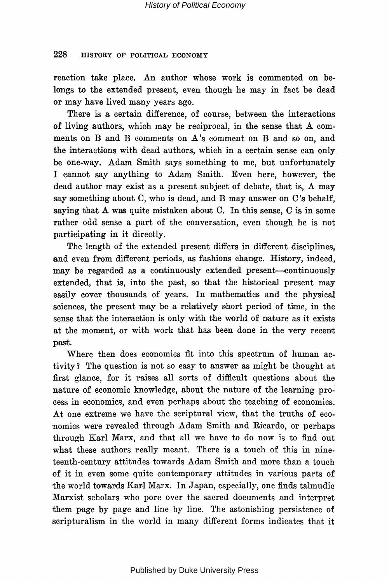reaction take place. **An** author whose work is commented on belongs to the extended present, even though he may in fact be dead or may have lived many years ago.

There is a certain difference, of course, between the interactions of living authors, which may be reciprocal, in the sense that **A** comments on B and B comments on **A's** comment on B and so on, and the interactions with dead authors, which in a certain sense can only be one-way. Adam Smith says something to me, but unfortunately I cannot say anything to Adam Smith. Even here, however, the dead author may exist as a present subject of debate, that is, **A** may say something about **C,** who is dead, and B may answer on **C's** behalf, saying that A was quite mistaken about C. In this sense, C is in some rather odd sense a part of the conversation, even though he is not participating in it directly.

The length of the extended present differs in different disciplines, land even from different periods, **as** fashions change. History, indeed, may be regarded as a continuously extended present-continuously extended, that is, into the past, so that the historical present may easily cover thousands of years. In mathematics and the physical sciences, the present may be a relatively short period of time, in the sense that the interaction is only with the world of nature as it exists at the moment, or with work that has been done in the very recent **past.** 

Where then does economics fit into this spectrum of human activity? The question is not so easy to answer as might be thought at first glance, for it raises all sorts of difficult questions about the nature of economic knowledge, about the nature of the learning process in economics, and even perhaps about the teaching of economics. At one extreme we have the scriptural view, that the truths of economics were revealed through Adam Smith and Ricardo, or perhaps through Karl Marx, and that all we have to do now is to find out what these authors really meant. There is a touch of this in nineteenth-century attitudes towards Adam Smith and more than a touch of it in even some quite contemporary attitudes in various parts of the world towards Karl Marx. In Japan, especially, one finds talmudic Marxist scholars who pore over the sacred documents and interpret them page by page and line by line. The astonishing persistence of scripturalism in the world in many different forms indicates that it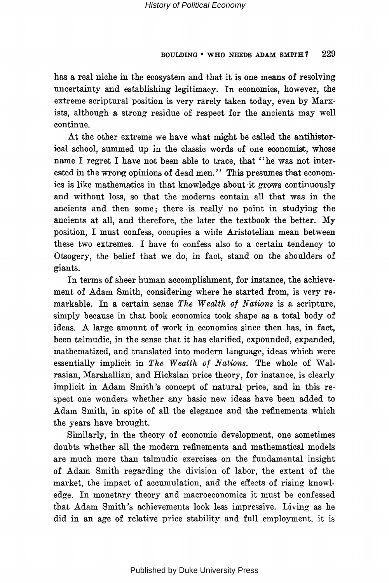has a real niche in the ecosystem and that it is one means of resolving uncertainty and establishing legitimacy. In economics, however, the extreme scriptural position is very rarely taken today, even by Marxists, although **a** strong residue of respect for the ancients may well continue.

At the other extreme we have what might be oalled the antihistorical school, summed up in the classic words of one economist, whose name I regret I have not been able to trace, that "he was not interested in the wrong opinions of dead men." This presumes that economics is like mathematics in that knowledge about it grows continuously and without loss, so that the moderns contain all that was in the ancients and then some; there is really no point in studying the ancients at all, and therefore, the later the textbook the better. My position, I must confess, occupies a wide Aristotelian mean between these two extremes. I have to confess also to a certain tendency to Otsogery, the belief that we do, in fact, stand on the shoulders of giants.

In terms of sheer human accomplishment, for instance, the achievement of Adam Smith, considering where he started from, is very remarkable. In a certain sense *The Wealth* of *Nations* is a scripture, simply because in that book economics took shape **as** a total body of ideas. A large amount of work in economics since then has, in fact, been talmudic, in the sense that it has clarified, expounded, expanded, mathematized, and translated into modern language, ideas which were essentially implicit in *The Wealth* of *Nations.* The whole of Walrasian, Marshallian, and Hicksian price theory, for instance, is clearly implicit in Adam Smith's concept of natural price, and in this respect one wonders whether any basic new ideas have been added to Adam Smith, in spite of all the elegance and the refinements which the years have brought.

Similarly, in the theory of economic development, one sometimes doubts whether all the modern refinements and mathematical models are much more than talmudic exercises on the fundamental insight of Adam Smith regarding the division of labor, the extent of the market, the impact of accumulation, and the effects of rising knowledge. In monetary theory and macroeconomics it must be confessed that Adam Smith's achievements look less impressive. Living as he did in an age of relative price stability and full employment, it is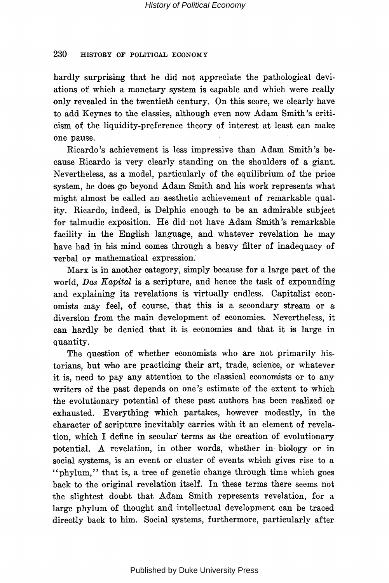hardly surprising that he did not appreciate the pathological deviations of which a monetary system is capable and which were really only revealed in the twentieth century. On this score, we clearly have to add Keynes to the classics, although even now Adam Smith's critioism of the liquidity-preference theory of interest at least can make one pause.

Ricardo 's achievement is less impressive than Adam Smith *'s* because Ricardo is very clearly standing on the shoulders of a giant. Nevertheless, as a model, particularly of the equilibrium of the price system, he does go beyond Adam Smith and his work represents what might almost be called an aesthetic achievement of remarkable quality. Ricardo, indeed, is Delphic enough to be an admirable subject for talmudic exposition. He did not have Adam Smith's remarkable facility in the English language, and whatever revelation he may have had in his mind comes through a heavy filter of imdequacy of verbal or mathematical expression.

Marx is in another category, simply because for a large part of the world, *Das Kupitul* is a scripture, and hence the task of expounding and explaining its revelations is virtually endless. Capitalist economists may feel, of course, that this is a secondary stream or a diversion from the main development of economics. Nevertheless, it can hardly be denied that it is economics and that it is large in quantity.

The question **of** whether economists who are not primarily historians, but who are practicing their art, trade, science, or whatever it is, need to pay any attention to the classical economists or to any writers **of** the past depends on one's estimate of the extent to which the evolutionary potential of these past authors has been realized or exhausted. Everything which partakes, however modestly, in the character **of** scripture inevitably carries with it an element of revelation, which I define in secular- terms **as** the creation of evolutionary potential. **A** revelation, in other words, whether in biology or in social systems, is an event or cluster **of** events which gives rise to a "phylum," that is, a tree of genetic change through time which goes back to the original revelation itself. In these terms there seems not the slightest doubt that Adam Smith represents revelation, for a large phylum of thought and intellectual development can be traced directly back to him. Social systems, furthermore, particularly after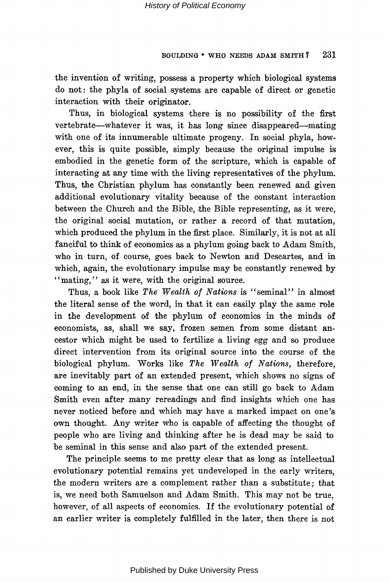the invention of writing, possess a property which biological systems do not: the phyla of social systems are capable of direct or genetic interaction with their originator.

Thus, in biological systems there is no possibility of the first vertebrate-whatever it was, it has long since disappeared-mating with one of its innumerable ultimate progeny. In social phyla, however, this is quite possible, simply because the original impulse is embodied in the genetic form of the scripture, which is capable of interacting at any time with the living representatives of the phylum. Thus, the Christian phylum has constantly been renewed and given additional evolutionary vitality because of the constant interaction between the Church and the Bible, the Bible representing, as it were, the original social mutation, or rather a record of that mutation, which produced the phylum in the first place. Similarly, it is not at all fanciful to think of economics **as** a phylum going back to Adam Smith, who in turn, of course, goes back to Newton and Descartes, and **in**  which, again, the evolutionary impulse may be constantly renewed by "mating," **as** it were, with the original source.

Thus, a **baok** like *The Wealth* of *Nations* is "seminal" in almost the literal sense **of** the word, in that it can easily play the same role in the development of the phylum of economics in the minds of economists, as, shall we say, frozen semen from some distant ancestor which might be used to fertilize **a** Living egg and *so* produce direct intervention from **its** original source into the course of the biological phylum. Works like *The Wealth* of *Nations,* therefore, are inevitably part of an extended present, which shows no signs of coming to an end, in the sense that one can still go back to Adam Smith even after many rereadings and find insights which one has never noticed before and which may have a marked impact on one's own thought. Any writer who is capable of affecting the thought of people who are living and thinking after he is dead may be said to be seminal in this sense and **also** part of the extended present.

The principle seems to me pretty clear that as long as intellectual evolutionary potential remains yet undeveloped in the early writers, the modern writers are a complement rather than a substitute; that is, we need both Samuelson and Adam Smith. This may not be true, however, of all aspects of economics. If the evolutionary potential of an earlier writer is completely fulfilled in the later, then there is not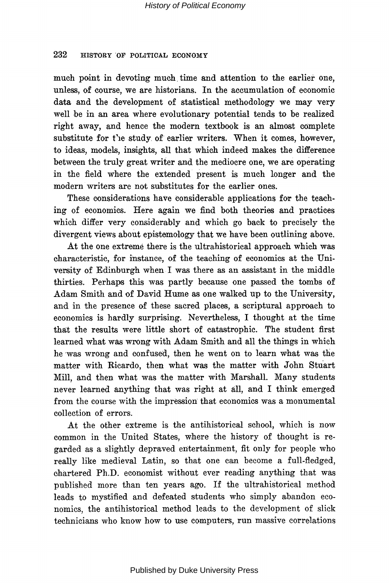much point in devoting much time and attention to the earlier one, unless, of course, we are historians. In the accumulation of economic data and the development of statistical methodology we may very well be in an area where evolutionary potential tends to be realized right away, and hence the modern textbook is **an** almost omplete substitute for the study of earlier writers. When it comes, however, to ideas, models, insights, all that which indeed makes the difference between the truly great writer and the mediocre one, we are operating in the field where the extended present is much longer and the modern writers are not substitutes for the earlier ones.

These considerations have considerable applications for the teaching of economics. Here again we find both theories and practices which differ very considerably and which go back to precisely the divergent views about epistemology that we have been outlining above.

At the one extreme there is the ultrahistorical approach which was eharacteristic, for instance, of the teaching of economics at the University of Edinburgh when I was there as an assistant in the middle thirties. Perhaps this was partly because one passed the tombs of Adam Smith and **of** David Hme **as** one walked up to the University, and in the presence **of** these sacred places, a scripturd approach to economics is hardly surprising. Nevertheless, I thought at the time that the results were little short of catastrophic. The student first learned what was wrong with Adam Smith and all the things in which he was wrong and confused, then he went on to learn what was the matter with Ricardo, then what was the matter with John Stuart Mill, and then what was the matter with Marshall. Many students never learned anything that was right at all, and I think emerged from the course with the impression that economies was a monumental collection of errors.

At the other extreme is the antihistorical school, which is now common in the United States, where the history of thought is regarded as a slightly depraved entertainment, fit only for people who really like medieval Latin, so that one can become a full-fledged, chartered Ph,D. economist without ever reading anything that was published more than ten years ago. If the ultrahistorical method leads to mystified and defeated students who simply abandon economics, the antihistorical method leads to the development of slick technicians who know how to use computers, run massive correlations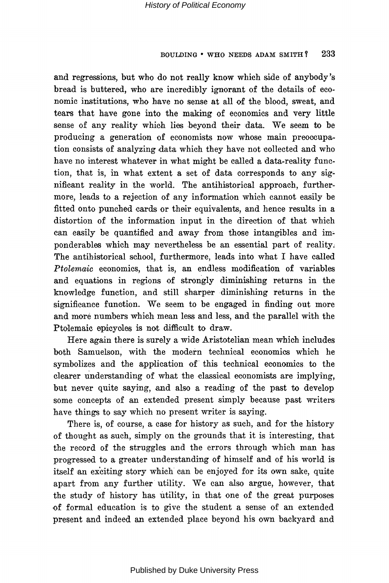#### **BOULDINO WHO NEEDS ADAM SMITH? 233**

and regressions, but who do not really know which side of anybody's bread is buttered, who are incredibly ignorant of the details of economic institutions, who have no sense at all of the blood, sweat, and tears that have gone into the making of economics and very little sense of any reality which lies beyond their data. We seem *to* be producing a generation of economists now whose main preoccupation consists of analyzing data which they have not collected and who have no interest whatever in what might be called a data-reality function, that is, in what extent a set of data corresponds to any significant reality in the world. The antihistorical approach, furthermore, leads to a rejection of any infomation which cannot easily be fitted onto punched cards or their equivalents, and hence results in a distortion of the information input in the direction of that which can easily be quantified and away from those intangibles and imponderabla which may nevertheless be an essential part of reality. The antihistorical school, furthermore, leads into what I have called *Ptoternaic* economics, that is, an endless modification of variables and equations in regions **of** strongly diminishing returns in the knowledge function, and still sharper diminishing returns in the significance funotion. We seem to be engaged in finding out more and more numbers which mean less and less, and the parallel with the Ptolemaic epicyoles is not difficult to draw.

Here again there is surely a wide Aristotelian mean which includes both Samuelson, with the modern technical economics which he symbolizes and the application of this technical economics to the clearer understanding of what the classical economists are implying, but never quite saying, and also a reading of the past to develop some concepts of an extended present simply because past writers have things to say which no present writer is saying.

There is, of course, a case for history **as** such, and for the history of thought as such, simply on the grounds that it is interesting, that the record of the struggles and the errors through which man has progressed to a greater understanding of himself and of his world is itself an exciting story which can be enjoyed for its own sake, quite apart from any further utility. We can also argue, however, that the study of history has utility, in that one of the great purposes **of** formal education is to give the student a sense of an extended present and indeed an extended place beyond his own backyard and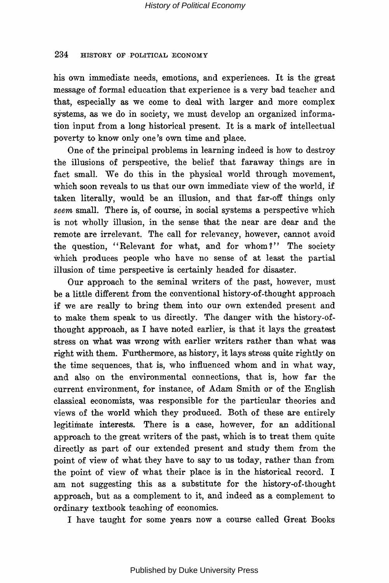his own immediate needs, emotions, and experiences. It is the great message of formal education that experience is *a* very bad teacher and that, especially **as** we come to deal with larger and more complex systems, **ds** we do in society, we must develop an organized information input from a long historical present. It is a mark of intellectual poverty to know only one's own time and place.

One of the principal problems in learning indeed is how to destroy the illusions of perspeotive, the belief that faraway things are in fact small. We do this in the physical world through movement, which soon reveals to us that our own immediate view of the world, if taken literally, would be an illusion, and that far-off things only *seem* small. There is, of course, in social systems a perspective which is not wholly illusion, in the sense that the near are dear and the remote are irrelevant. The call for relevancy, however, cannot avoid the question, "Relevant for what, and for whom?" The society which produces people who have no sense of at least the partial illusion of time perspective is certainly headed for disaster.

Our approach to the seminal writers of the past, however, must be a little different from the conventional history-of-thought approach if we are really to bring them into our own extended present and to make them speak to us directly. The danger with the history-ofthought approach, as I have noted earlier, is that it lays the greatest stress on what **was** wrong with earlier writers rather than what was right with them. Furthermore, as history, it lays stress quite rightly on the time sequences, that is, who influenced whom and in what way, and also on the environmental connections, that is, how far the current environment, for instance, of Adam Smith or of the English classical economists, was responsible for the particular theories and views of the world which they produced. Buth **of** these are entirely legitimate interests. There is a case, however, for an additional approach to the great writers **of** the past, which is to treat them quite directly **as** part of our extended present and study them from the point of view of what they have to say to **us** today, rather than from the point of view of what their place is in the historical record. I am not suggesting this as a substitute for the history-of-thought approach, but **as** a complement to it, and indeed **as** a complement to ordinary textbook teading of economics.

I have taught for some years now a course called Great Books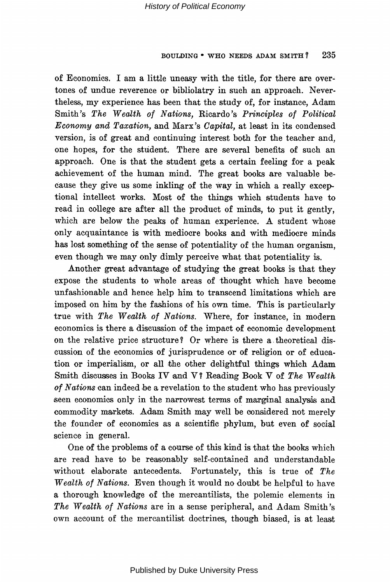of Economics. I am a little uneasy with the title, for there are overtones of undue reverence or bibliolatry in such an approach. Nevertheless, my experience has been that the study of, for instance, Adam Smith's *The Wedth* of *Nations,* Ricardo's *Principles of Political Economy and Taxation,* and Marx's *Capital,* at least in its condensed version, is of great and continuing interest both for the teacher and, one hopes, for the student. There are several benefits of such an approach. One is that the student gets a certain feeling for a peak achievement of the human mind. The great books are valuable because they give **us** some inkling of the way in which a really excep tional intellect works. Most of the things which students have to read in college are after all the product of minds, to put it gently, which are below the peaks of human experience. A student whose only acquaintance is with mediocre books and with mediocre minds has lost something of the sense of potentiality of the human organism, even though we may only dimly perceive what that potentiality is.

Another great advantage of studying the great books is that they expose the students to whole areas of thought which have become unfashionable and hence help him to transcend limitations which are imposed on him by the fashions of his own time. This is particularly true with *The Wealth of Nations.* Where, for instance, in modern economics is there a discussion of the impact of economic development on the relative price structure? Or where is there a theoretical discussion of the economics **of** jurisprudence **or of** religion or of edueation or imperialism, or all the other delightful things which Adam Smith discusses in Books IV and **V?** Reading Book **V** of *The Wealth* of *Nations* can indeed be a revelation to the student who has previously seen economics only in the narrowest terms of marginal analysis and commoldity markets. Adam Smith may well be eonsidered not merely the founder **of** economics as a scientific phylum, but even of social science in general.

One of the problems of a course of this kind is that the books which are read have to be reasonably self-contained and understandable without elaborate antecedents. Fortunately, this is true **of** *The Wealth of Nations.* Even though it would no doubt be helpful to have a thorough knowledge of the mercantilists, the polemic elements in *The Wealth* of *Notions* are in a sense peripheral, and Adam Smith's own account of the mercantilist doctrines, though biased, is at least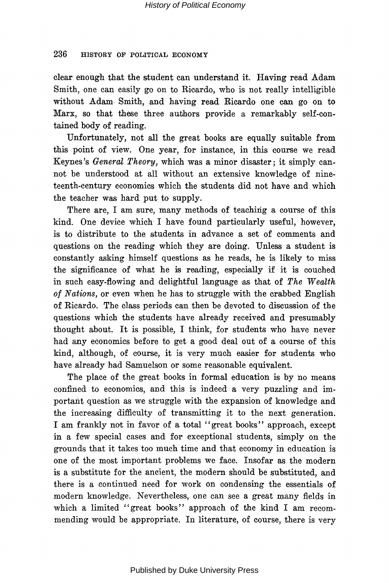clear enough that the student can understand it. Having read Adam Smith, one can easily go on to Ricardo, who is not really intelligible without Adam Smith, and having read Ricardo one *can* go on to Marx, so that these three authors provide a remarkably self-contained body of reading.

Unfortunakely, not all the great books are equally suitable from this point of view. One year, for instance, in this course we read Keynes's *General Theory*, which was a minor disaster; it simply cannot be understood at dl without an extensive knowledge of nineteenth-century economios which the students did not have and which the teacher was hard put **to** supply.

There are, I am sure, many methods of teaching a course of this kind. One device which I have found particularly useful, however, is to distribute to the students in advance a set of comments and questions on the reading which they are doing. Unless a student is constantly asking himself questions as he reads, he is likely to miss the significance of what he is reading, especially if it is couched in such easy-flowing and delightful language **as** that of *The Wealth of Nations,* or even when he has to struggle with the crabbed English of Ricardo. The class periods can then be devoted to discussion of the questions which the students have already received and presumably thought about. It is possible, I think, for students who have never had any economics before to get a good deal out of a course of this kind, although, of course, it is very much easier for students who have already had Samuelson or some reasonable equivalent.

The place of the great books in formal education is by no means confined to economics, and this is indeed a very puzzling and important question as we struggle with the expansion of knowledge and the increasing difficulty of transmitting it to the next generation. I am frankly not in favor of a total "great books" approach, except in a few special cases and for exceptional students, simply on the grounds that it takes too much time and that economy in education is one of the most important problems we face. Insofar **as** the modern is a substitute for the ancient, the modern should be substituted, and there is a continued need for work on omdensing the essentials of modern knowledge. Nevertheless, one can see a great many fields in which a limited "great books" approach of the kind I am recommending would be appropriate. In literature, of course, there is very